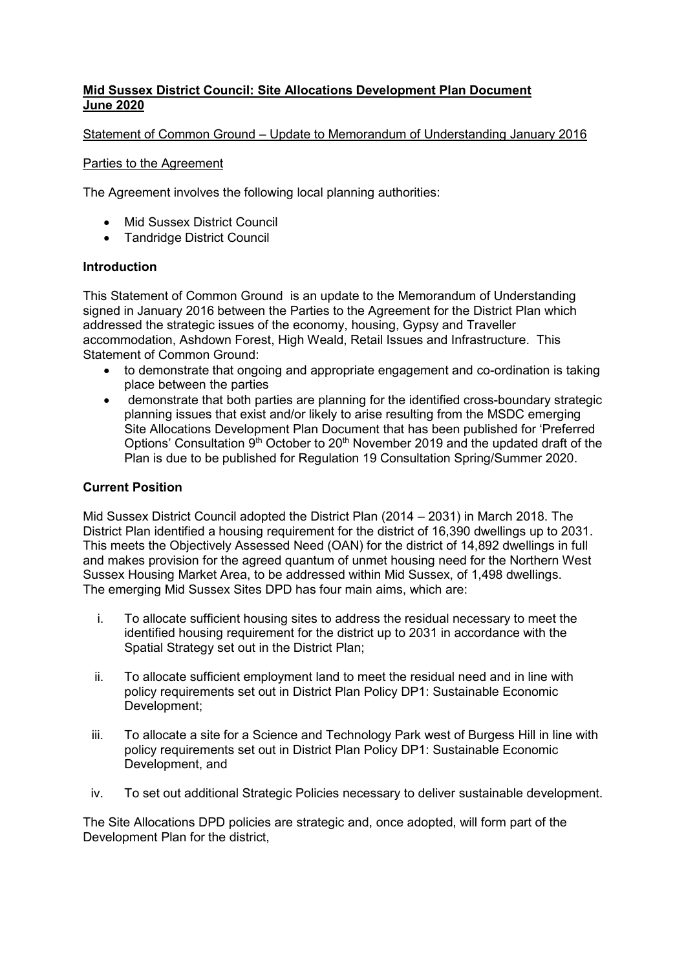## **Mid Sussex District Council: Site Allocations Development Plan Document June 2020**

## Statement of Common Ground – Update to Memorandum of Understanding January 2016

#### Parties to the Agreement

The Agreement involves the following local planning authorities:

- Mid Sussex District Council
- Tandridge District Council

## **Introduction**

This Statement of Common Ground is an update to the Memorandum of Understanding signed in January 2016 between the Parties to the Agreement for the District Plan which addressed the strategic issues of the economy, housing, Gypsy and Traveller accommodation, Ashdown Forest, High Weald, Retail Issues and Infrastructure. This Statement of Common Ground:

- to demonstrate that ongoing and appropriate engagement and co-ordination is taking place between the parties
- demonstrate that both parties are planning for the identified cross-boundary strategic planning issues that exist and/or likely to arise resulting from the MSDC emerging Site Allocations Development Plan Document that has been published for 'Preferred Options' Consultation 9<sup>th</sup> October to 20<sup>th</sup> November 2019 and the updated draft of the Plan is due to be published for Regulation 19 Consultation Spring/Summer 2020.

## **Current Position**

Mid Sussex District Council adopted the District Plan (2014 – 2031) in March 2018. The District Plan identified a housing requirement for the district of 16,390 dwellings up to 2031. This meets the Objectively Assessed Need (OAN) for the district of 14,892 dwellings in full and makes provision for the agreed quantum of unmet housing need for the Northern West Sussex Housing Market Area, to be addressed within Mid Sussex, of 1,498 dwellings. The emerging Mid Sussex Sites DPD has four main aims, which are:

- i. To allocate sufficient housing sites to address the residual necessary to meet the identified housing requirement for the district up to 2031 in accordance with the Spatial Strategy set out in the District Plan;
- ii. To allocate sufficient employment land to meet the residual need and in line with policy requirements set out in District Plan Policy DP1: Sustainable Economic Development;
- iii. To allocate a site for a Science and Technology Park west of Burgess Hill in line with policy requirements set out in District Plan Policy DP1: Sustainable Economic Development, and
- iv. To set out additional Strategic Policies necessary to deliver sustainable development.

The Site Allocations DPD policies are strategic and, once adopted, will form part of the Development Plan for the district,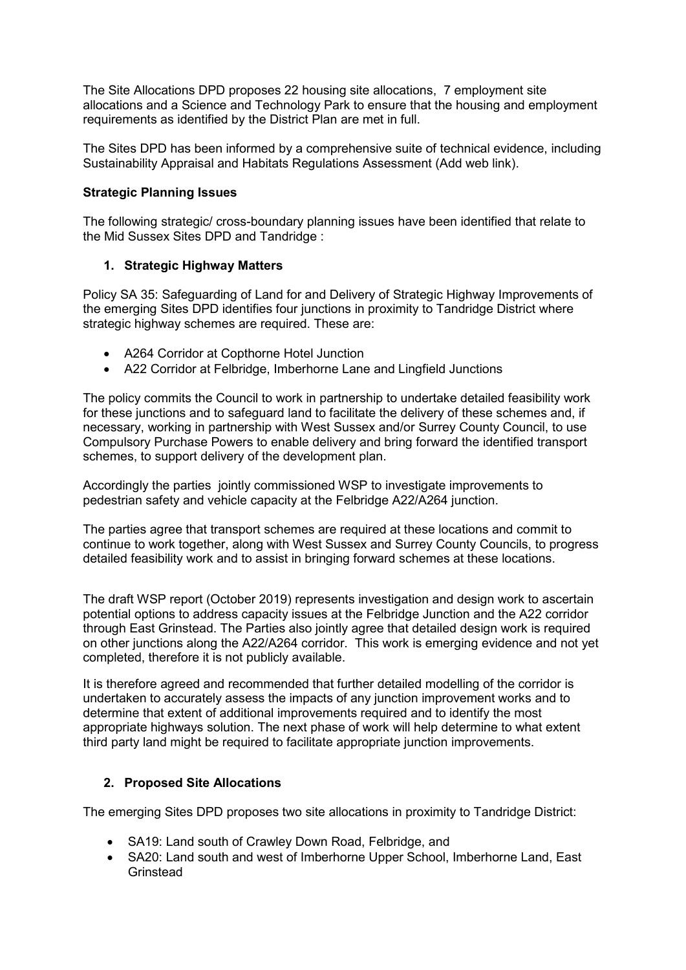The Site Allocations DPD proposes 22 housing site allocations, 7 employment site allocations and a Science and Technology Park to ensure that the housing and employment requirements as identified by the District Plan are met in full.

The Sites DPD has been informed by a comprehensive suite of technical evidence, including Sustainability Appraisal and Habitats Regulations Assessment (Add web link).

## **Strategic Planning Issues**

The following strategic/ cross-boundary planning issues have been identified that relate to the Mid Sussex Sites DPD and Tandridge :

## **1. Strategic Highway Matters**

Policy SA 35: Safeguarding of Land for and Delivery of Strategic Highway Improvements of the emerging Sites DPD identifies four junctions in proximity to Tandridge District where strategic highway schemes are required. These are:

- A264 Corridor at Copthorne Hotel Junction
- A22 Corridor at Felbridge, Imberhorne Lane and Lingfield Junctions

The policy commits the Council to work in partnership to undertake detailed feasibility work for these junctions and to safeguard land to facilitate the delivery of these schemes and, if necessary, working in partnership with West Sussex and/or Surrey County Council, to use Compulsory Purchase Powers to enable delivery and bring forward the identified transport schemes, to support delivery of the development plan.

Accordingly the parties jointly commissioned WSP to investigate improvements to pedestrian safety and vehicle capacity at the Felbridge A22/A264 junction.

The parties agree that transport schemes are required at these locations and commit to continue to work together, along with West Sussex and Surrey County Councils, to progress detailed feasibility work and to assist in bringing forward schemes at these locations.

The draft WSP report (October 2019) represents investigation and design work to ascertain potential options to address capacity issues at the Felbridge Junction and the A22 corridor through East Grinstead. The Parties also jointly agree that detailed design work is required on other junctions along the A22/A264 corridor. This work is emerging evidence and not yet completed, therefore it is not publicly available.

It is therefore agreed and recommended that further detailed modelling of the corridor is undertaken to accurately assess the impacts of any junction improvement works and to determine that extent of additional improvements required and to identify the most appropriate highways solution. The next phase of work will help determine to what extent third party land might be required to facilitate appropriate junction improvements.

## **2. Proposed Site Allocations**

The emerging Sites DPD proposes two site allocations in proximity to Tandridge District:

- SA19: Land south of Crawley Down Road, Felbridge, and
- SA20: Land south and west of Imberhorne Upper School, Imberhorne Land, East Grinstead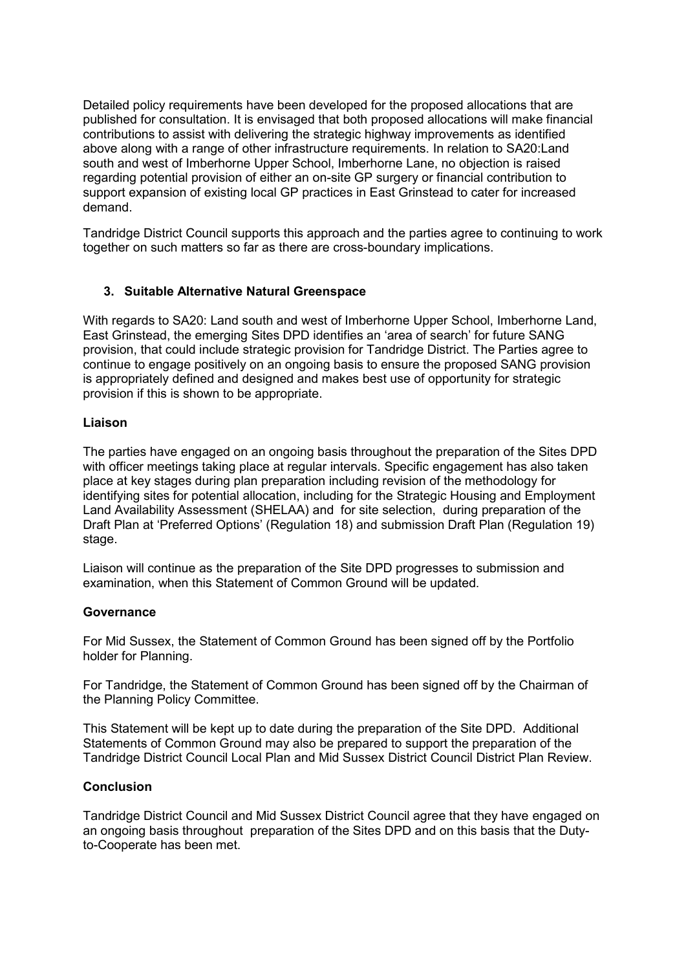Detailed policy requirements have been developed for the proposed allocations that are published for consultation. It is envisaged that both proposed allocations will make financial contributions to assist with delivering the strategic highway improvements as identified above along with a range of other infrastructure requirements. In relation to SA20:Land south and west of Imberhorne Upper School, Imberhorne Lane, no objection is raised regarding potential provision of either an on-site GP surgery or financial contribution to support expansion of existing local GP practices in East Grinstead to cater for increased demand.

Tandridge District Council supports this approach and the parties agree to continuing to work together on such matters so far as there are cross-boundary implications.

# **3. Suitable Alternative Natural Greenspace**

With regards to SA20: Land south and west of Imberhorne Upper School, Imberhorne Land, East Grinstead, the emerging Sites DPD identifies an 'area of search' for future SANG provision, that could include strategic provision for Tandridge District. The Parties agree to continue to engage positively on an ongoing basis to ensure the proposed SANG provision is appropriately defined and designed and makes best use of opportunity for strategic provision if this is shown to be appropriate.

## **Liaison**

The parties have engaged on an ongoing basis throughout the preparation of the Sites DPD with officer meetings taking place at regular intervals. Specific engagement has also taken place at key stages during plan preparation including revision of the methodology for identifying sites for potential allocation, including for the Strategic Housing and Employment Land Availability Assessment (SHELAA) and for site selection, during preparation of the Draft Plan at 'Preferred Options' (Regulation 18) and submission Draft Plan (Regulation 19) stage.

Liaison will continue as the preparation of the Site DPD progresses to submission and examination, when this Statement of Common Ground will be updated.

#### **Governance**

For Mid Sussex, the Statement of Common Ground has been signed off by the Portfolio holder for Planning.

For Tandridge, the Statement of Common Ground has been signed off by the Chairman of the Planning Policy Committee.

This Statement will be kept up to date during the preparation of the Site DPD. Additional Statements of Common Ground may also be prepared to support the preparation of the Tandridge District Council Local Plan and Mid Sussex District Council District Plan Review.

## **Conclusion**

Tandridge District Council and Mid Sussex District Council agree that they have engaged on an ongoing basis throughout preparation of the Sites DPD and on this basis that the Dutyto-Cooperate has been met.